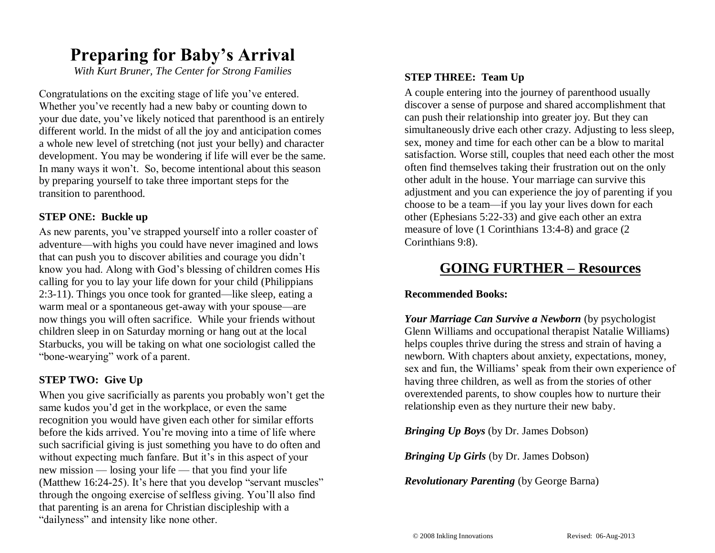## **Preparing for Baby's Arrival**

*With Kurt Bruner, The Center for Strong Families*

Congratulations on the exciting stage of life you've entered. Whether you've recently had a new baby or counting down to your due date, you've likely noticed that parenthood is an entirely different world. In the midst of all the joy and anticipation comes a whole new level of stretching (not just your belly) and character development. You may be wondering if life will ever be the same. In many ways it won't. So, become intentional about this season by preparing yourself to take three important steps for the transition to parenthood.

#### **STEP ONE: Buckle up**

As new parents, you've strapped yourself into a roller coaster of adventure—with highs you could have never imagined and lows that can push you to discover abilities and courage you didn't know you had. Along with God's blessing of children comes His calling for you to lay your life down for your child (Philippians 2:3-11). Things you once took for granted—like sleep, eating a warm meal or a spontaneous get-away with your spouse—are now things you will often sacrifice. While your friends without children sleep in on Saturday morning or hang out at the local Starbucks, you will be taking on what one sociologist called the "bone-wearying" work of a parent.

#### **STEP TWO: Give Up**

When you give sacrificially as parents you probably won't get the same kudos you'd get in the workplace, or even the same recognition you would have given each other for similar efforts before the kids arrived. You're moving into a time of life where such sacrificial giving is just something you have to do often and without expecting much fanfare. But it's in this aspect of your new mission — losing your life — that you find your life (Matthew 16:24-25). It's here that you develop "servant muscles" through the ongoing exercise of selfless giving. You'll also find that parenting is an arena for Christian discipleship with a "dailyness" and intensity like none other.

#### **STEP THREE: Team Up**

A couple entering into the journey of parenthood usually discover a sense of purpose and shared accomplishment that can push their relationship into greater joy. But they can simultaneously drive each other crazy. Adjusting to less sleep, sex, money and time for each other can be a blow to marital satisfaction. Worse still, couples that need each other the most often find themselves taking their frustration out on the only other adult in the house. Your marriage can survive this adjustment and you can experience the joy of parenting if you choose to be a team—if you lay your lives down for each other (Ephesians 5:22-33) and give each other an extra measure of love (1 Corinthians 13:4-8) and grace (2 Corinthians 9:8).

### **GOING FURTHER – Resources**

#### **Recommended Books:**

*Your Marriage Can Survive a Newborn* (by psychologist Glenn Williams and occupational therapist Natalie Williams) helps couples thrive during the stress and strain of having a newborn. With chapters about anxiety, expectations, money, sex and fun, the Williams' speak from their own experience of having three children, as well as from the stories of other overextended parents, to show couples how to nurture their relationship even as they nurture their new baby.

*Bringing Up Boys* (by Dr. James Dobson)

*Bringing Up Girls* (by Dr. James Dobson)

*Revolutionary Parenting* (by George Barna)